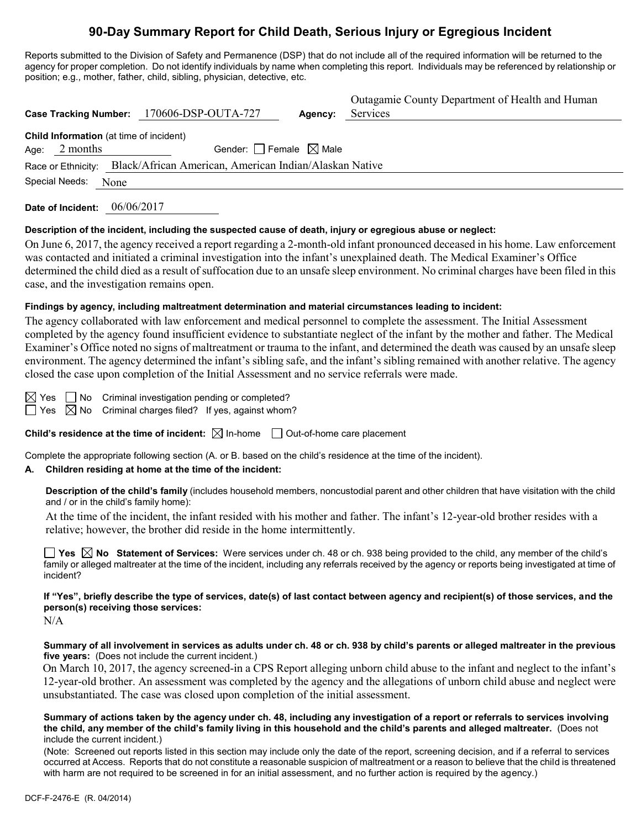# **90-Day Summary Report for Child Death, Serious Injury or Egregious Incident**

Reports submitted to the Division of Safety and Permanence (DSP) that do not include all of the required information will be returned to the agency for proper completion. Do not identify individuals by name when completing this report. Individuals may be referenced by relationship or position; e.g., mother, father, child, sibling, physician, detective, etc.

|                                                                                                |  | Case Tracking Number: 170606-DSP-OUTA-727 | Agency: | Outagamie County Department of Health and Human<br>Services |  |  |  |  |
|------------------------------------------------------------------------------------------------|--|-------------------------------------------|---------|-------------------------------------------------------------|--|--|--|--|
| Child Information (at time of incident)<br>2 months<br>Gender: Female $\boxtimes$ Male<br>Age: |  |                                           |         |                                                             |  |  |  |  |
| Black/African American, American Indian/Alaskan Native<br>Race or Ethnicity:                   |  |                                           |         |                                                             |  |  |  |  |
| Special Needs:<br>None                                                                         |  |                                           |         |                                                             |  |  |  |  |

**Date of Incident:** 06/06/2017

### **Description of the incident, including the suspected cause of death, injury or egregious abuse or neglect:**

On June 6, 2017, the agency received a report regarding a 2-month-old infant pronounced deceased in his home. Law enforcement was contacted and initiated a criminal investigation into the infant's unexplained death. The Medical Examiner's Office determined the child died as a result of suffocation due to an unsafe sleep environment. No criminal charges have been filed in this case, and the investigation remains open.

### **Findings by agency, including maltreatment determination and material circumstances leading to incident:**

The agency collaborated with law enforcement and medical personnel to complete the assessment. The Initial Assessment completed by the agency found insufficient evidence to substantiate neglect of the infant by the mother and father. The Medical Examiner's Office noted no signs of maltreatment or trauma to the infant, and determined the death was caused by an unsafe sleep environment. The agency determined the infant's sibling safe, and the infant's sibling remained with another relative. The agency closed the case upon completion of the Initial Assessment and no service referrals were made.

 $\boxtimes$  Yes  $\Box$  No Criminal investigation pending or completed?  $\Box$  Yes  $\boxtimes$  No Criminal charges filed? If yes, against whom?

**Child's residence at the time of incident:**  $\boxtimes$  In-home  $\Box$  Out-of-home care placement

Complete the appropriate following section (A. or B. based on the child's residence at the time of the incident).

### **A. Children residing at home at the time of the incident:**

**Description of the child's family** (includes household members, noncustodial parent and other children that have visitation with the child and / or in the child's family home):

At the time of the incident, the infant resided with his mother and father. The infant's 12-year-old brother resides with a relative; however, the brother did reside in the home intermittently.

**Yes No Statement of Services:** Were services under ch. 48 or ch. 938 being provided to the child, any member of the child's family or alleged maltreater at the time of the incident, including any referrals received by the agency or reports being investigated at time of incident?

# **If "Yes", briefly describe the type of services, date(s) of last contact between agency and recipient(s) of those services, and the person(s) receiving those services:**

N/A

**Summary of all involvement in services as adults under ch. 48 or ch. 938 by child's parents or alleged maltreater in the previous five years:** (Does not include the current incident.)

On March 10, 2017, the agency screened-in a CPS Report alleging unborn child abuse to the infant and neglect to the infant's 12-year-old brother. An assessment was completed by the agency and the allegations of unborn child abuse and neglect were unsubstantiated. The case was closed upon completion of the initial assessment.

#### **Summary of actions taken by the agency under ch. 48, including any investigation of a report or referrals to services involving the child, any member of the child's family living in this household and the child's parents and alleged maltreater.** (Does not include the current incident.)

(Note: Screened out reports listed in this section may include only the date of the report, screening decision, and if a referral to services occurred at Access. Reports that do not constitute a reasonable suspicion of maltreatment or a reason to believe that the child is threatened with harm are not required to be screened in for an initial assessment, and no further action is required by the agency.)